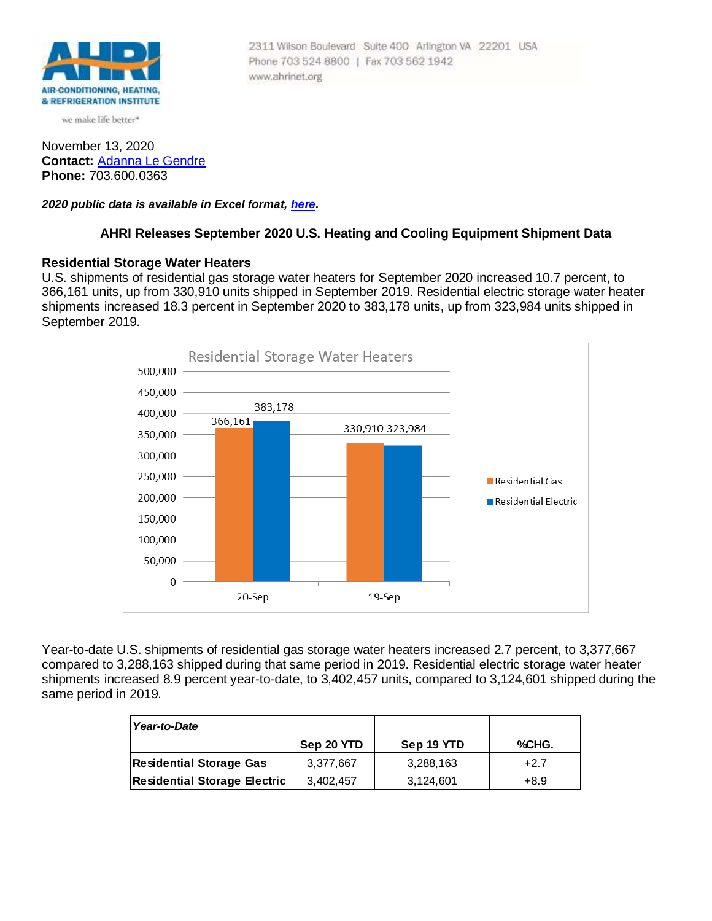

we make life better\*

November 13, 2020 **Contact:** [Adanna Le Gendre](mailto:AleGendre@ahrinet.org) **Phone:** 703.600.0363

*2020 public data is available in Excel format, [here.](http://www.ahrinet.org/App_Content/ahri/files/RESOURCES/092020_PUBLIC_DATA.xls)*

### **AHRI Releases September 2020 U.S. Heating and Cooling Equipment Shipment Data**

Phone 703 524 8800 | Fax 703 562 1942

www.ahrinet.org

2311 Wilson Boulevard Suite 400 Arlington VA 22201 USA

#### **Residential Storage Water Heaters**

U.S. shipments of residential gas storage water heaters for September 2020 increased 10.7 percent, to 366,161 units, up from 330,910 units shipped in September 2019. Residential electric storage water heater shipments increased 18.3 percent in September 2020 to 383,178 units, up from 323,984 units shipped in September 2019.



Year-to-date U.S. shipments of residential gas storage water heaters increased 2.7 percent, to 3,377,667 compared to 3,288,163 shipped during that same period in 2019. Residential electric storage water heater shipments increased 8.9 percent year-to-date, to 3,402,457 units, compared to 3,124,601 shipped during the same period in 2019.

| Year-to-Date                        |            |            |        |
|-------------------------------------|------------|------------|--------|
|                                     | Sep 20 YTD | Sep 19 YTD | %CHG.  |
| <b>Residential Storage Gas</b>      | 3.377.667  | 3,288,163  | $+2.7$ |
| <b>Residential Storage Electric</b> | 3.402.457  | 3,124,601  | $+8.9$ |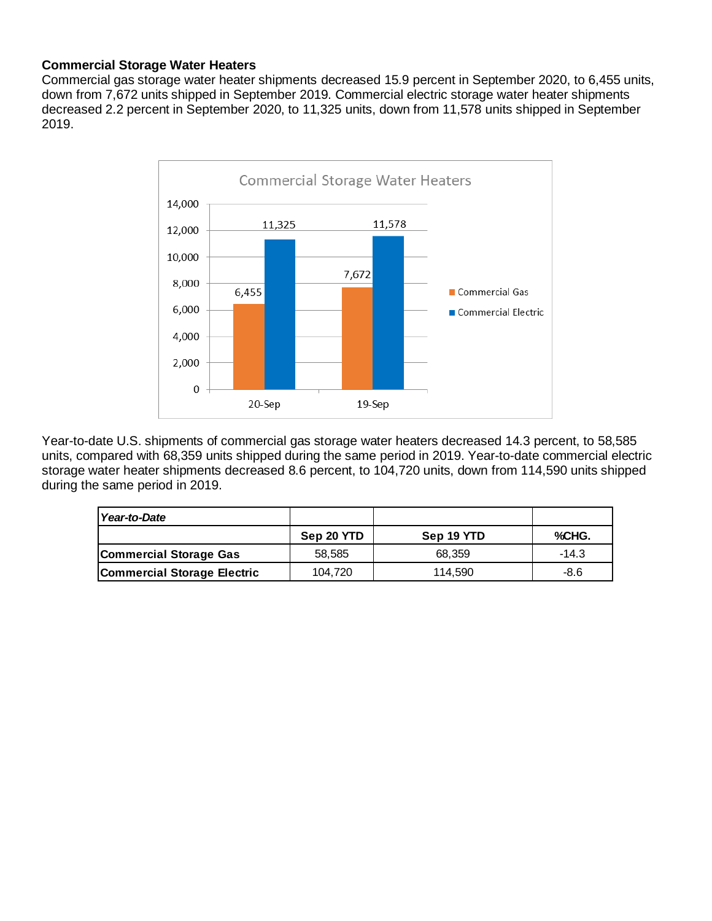# **Commercial Storage Water Heaters**

Commercial gas storage water heater shipments decreased 15.9 percent in September 2020, to 6,455 units, down from 7,672 units shipped in September 2019. Commercial electric storage water heater shipments decreased 2.2 percent in September 2020, to 11,325 units, down from 11,578 units shipped in September 2019.



Year-to-date U.S. shipments of commercial gas storage water heaters decreased 14.3 percent, to 58,585 units, compared with 68,359 units shipped during the same period in 2019. Year-to-date commercial electric storage water heater shipments decreased 8.6 percent, to 104,720 units, down from 114,590 units shipped during the same period in 2019.

| Year-to-Date                       |            |            |         |
|------------------------------------|------------|------------|---------|
|                                    | Sep 20 YTD | Sep 19 YTD | %CHG.   |
| Commercial Storage Gas             | 58,585     | 68.359     | $-14.3$ |
| <b>Commercial Storage Electric</b> | 104.720    | 114.590    | -8.6    |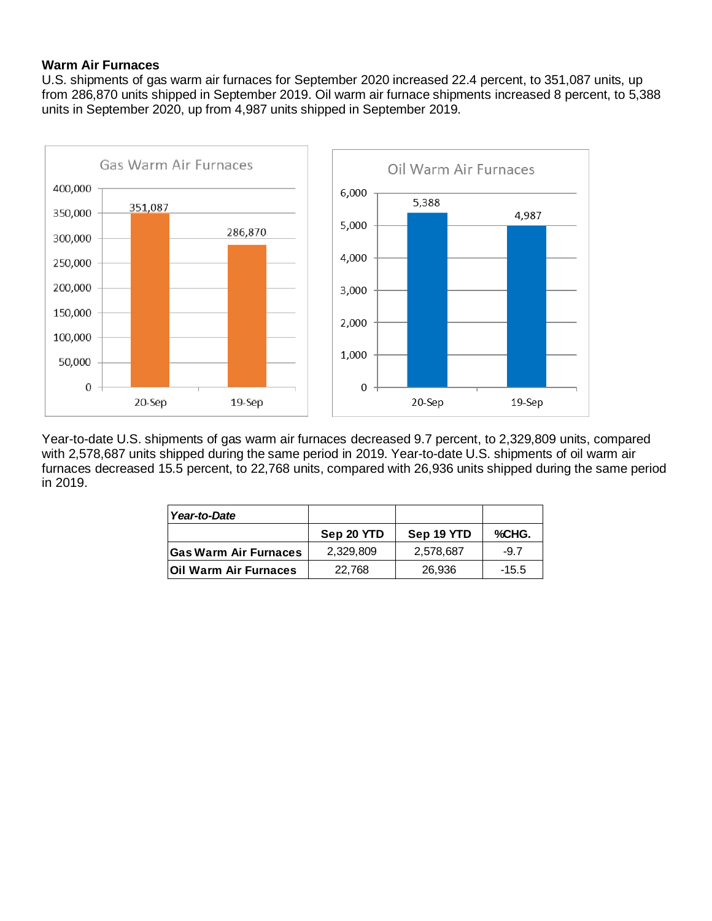## **Warm Air Furnaces**

U.S. shipments of gas warm air furnaces for September 2020 increased 22.4 percent, to 351,087 units, up from 286,870 units shipped in September 2019. Oil warm air furnace shipments increased 8 percent, to 5,388 units in September 2020, up from 4,987 units shipped in September 2019.



Year-to-date U.S. shipments of gas warm air furnaces decreased 9.7 percent, to 2,329,809 units, compared with 2,578,687 units shipped during the same period in 2019. Year-to-date U.S. shipments of oil warm air furnaces decreased 15.5 percent, to 22,768 units, compared with 26,936 units shipped during the same period in 2019.

| Year-to-Date                  |            |            |         |
|-------------------------------|------------|------------|---------|
|                               | Sep 20 YTD | Sep 19 YTD | %CHG.   |
| <b>IGas Warm Air Furnaces</b> | 2,329,809  | 2,578,687  | $-9.7$  |
| <b>Oil Warm Air Furnaces</b>  | 22.768     | 26,936     | $-15.5$ |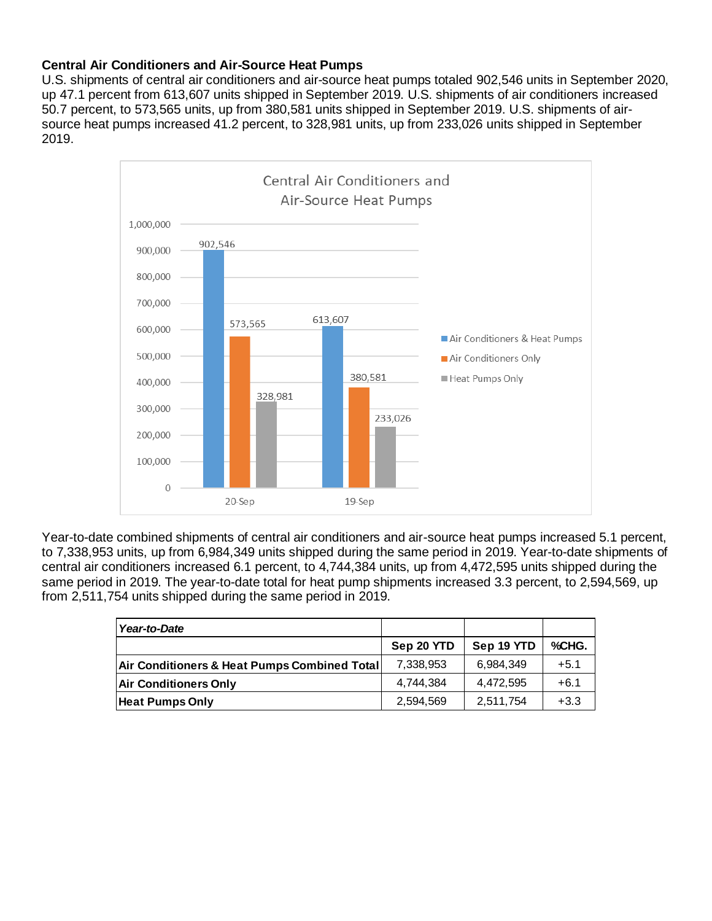## **Central Air Conditioners and Air-Source Heat Pumps**

U.S. shipments of central air conditioners and air-source heat pumps totaled 902,546 units in September 2020, up 47.1 percent from 613,607 units shipped in September 2019. U.S. shipments of air conditioners increased 50.7 percent, to 573,565 units, up from 380,581 units shipped in September 2019. U.S. shipments of airsource heat pumps increased 41.2 percent, to 328,981 units, up from 233,026 units shipped in September 2019.



Year-to-date combined shipments of central air conditioners and air-source heat pumps increased 5.1 percent, to 7,338,953 units, up from 6,984,349 units shipped during the same period in 2019. Year-to-date shipments of central air conditioners increased 6.1 percent, to 4,744,384 units, up from 4,472,595 units shipped during the same period in 2019. The year-to-date total for heat pump shipments increased 3.3 percent, to 2,594,569, up from 2,511,754 units shipped during the same period in 2019.

| Year-to-Date                                 |            |            |        |
|----------------------------------------------|------------|------------|--------|
|                                              | Sep 20 YTD | Sep 19 YTD | %CHG.  |
| Air Conditioners & Heat Pumps Combined Total | 7,338,953  | 6.984.349  | $+5.1$ |
| <b>Air Conditioners Only</b>                 | 4.744.384  | 4.472.595  | $+6.1$ |
| <b>Heat Pumps Only</b>                       | 2,594,569  | 2,511,754  | $+3.3$ |